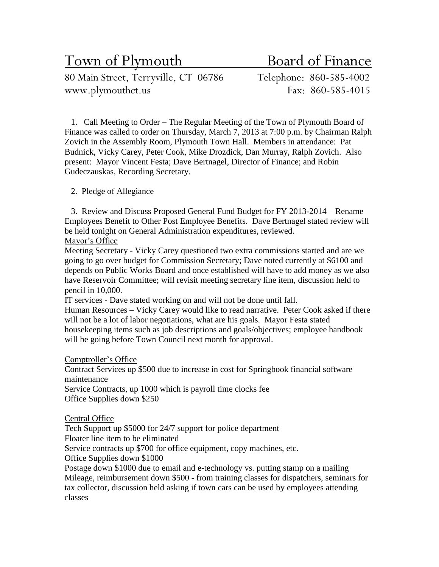Town of Plymouth Board of Finance

80 Main Street, Terryville, CT 06786 Telephone: 860-585-4002 www.plymouthct.us Fax: 860-585-4015

1. Call Meeting to Order – The Regular Meeting of the Town of Plymouth Board of Finance was called to order on Thursday, March 7, 2013 at 7:00 p.m. by Chairman Ralph Zovich in the Assembly Room, Plymouth Town Hall. Members in attendance: Pat Budnick, Vicky Carey, Peter Cook, Mike Drozdick, Dan Murray, Ralph Zovich. Also present: Mayor Vincent Festa; Dave Bertnagel, Director of Finance; and Robin Gudeczauskas, Recording Secretary.

# 2. Pledge of Allegiance

3. Review and Discuss Proposed General Fund Budget for FY 2013-2014 – Rename Employees Benefit to Other Post Employee Benefits. Dave Bertnagel stated review will be held tonight on General Administration expenditures, reviewed.

## Mayor's Office

Meeting Secretary - Vicky Carey questioned two extra commissions started and are we going to go over budget for Commission Secretary; Dave noted currently at \$6100 and depends on Public Works Board and once established will have to add money as we also have Reservoir Committee; will revisit meeting secretary line item, discussion held to pencil in 10,000.

IT services - Dave stated working on and will not be done until fall.

Human Resources – Vicky Carey would like to read narrative. Peter Cook asked if there will not be a lot of labor negotiations, what are his goals. Mayor Festa stated housekeeping items such as job descriptions and goals/objectives; employee handbook will be going before Town Council next month for approval.

### Comptroller's Office

Contract Services up \$500 due to increase in cost for Springbook financial software maintenance

Service Contracts, up 1000 which is payroll time clocks fee Office Supplies down \$250

### Central Office

Tech Support up \$5000 for 24/7 support for police department

Floater line item to be eliminated

Service contracts up \$700 for office equipment, copy machines, etc.

Office Supplies down \$1000

Postage down \$1000 due to email and e-technology vs. putting stamp on a mailing Mileage, reimbursement down \$500 - from training classes for dispatchers, seminars for tax collector, discussion held asking if town cars can be used by employees attending classes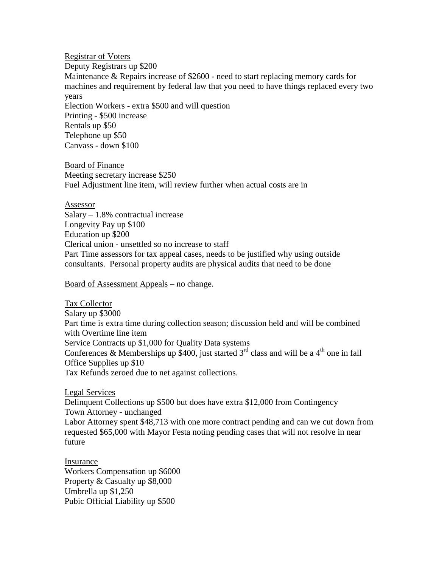Registrar of Voters Deputy Registrars up \$200 Maintenance & Repairs increase of \$2600 - need to start replacing memory cards for machines and requirement by federal law that you need to have things replaced every two years Election Workers - extra \$500 and will question Printing - \$500 increase Rentals up \$50 Telephone up \$50 Canvass - down \$100

Board of Finance Meeting secretary increase \$250 Fuel Adjustment line item, will review further when actual costs are in

Assessor Salary – 1.8% contractual increase Longevity Pay up \$100 Education up \$200 Clerical union - unsettled so no increase to staff Part Time assessors for tax appeal cases, needs to be justified why using outside consultants. Personal property audits are physical audits that need to be done

Board of Assessment Appeals – no change.

Tax Collector Salary up \$3000 Part time is extra time during collection season; discussion held and will be combined with Overtime line item Service Contracts up \$1,000 for Quality Data systems Conferences & Memberships up \$400, just started  $3<sup>rd</sup>$  class and will be a 4<sup>th</sup> one in fall Office Supplies up \$10 Tax Refunds zeroed due to net against collections.

Legal Services

Delinquent Collections up \$500 but does have extra \$12,000 from Contingency Town Attorney - unchanged Labor Attorney spent \$48,713 with one more contract pending and can we cut down from requested \$65,000 with Mayor Festa noting pending cases that will not resolve in near

future

Insurance Workers Compensation up \$6000 Property & Casualty up \$8,000 Umbrella up \$1,250 Pubic Official Liability up \$500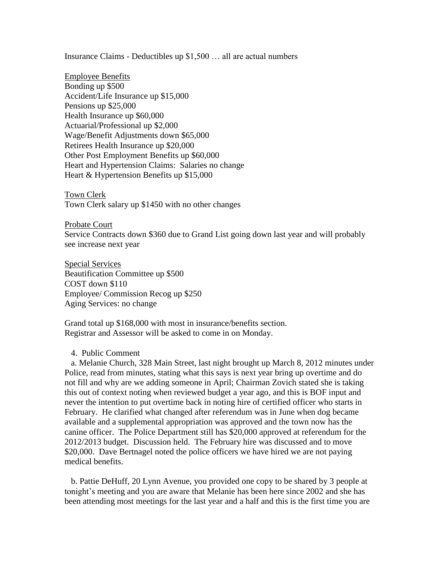Insurance Claims - Deductibles up \$1,500 … all are actual numbers

Employee Benefits Bonding up \$500 Accident/Life Insurance up \$15,000 Pensions up \$25,000 Health Insurance up \$60,000 Actuarial/Professional up \$2,000 Wage/Benefit Adjustments down \$65,000 Retirees Health Insurance up \$20,000 Other Post Employment Benefits up \$60,000 Heart and Hypertension Claims: Salaries no change Heart & Hypertension Benefits up \$15,000

Town Clerk Town Clerk salary up \$1450 with no other changes

Probate Court

Service Contracts down \$360 due to Grand List going down last year and will probably see increase next year

Special Services Beautification Committee up \$500 COST down \$110 Employee/ Commission Recog up \$250 Aging Services: no change

Grand total up \$168,000 with most in insurance/benefits section. Registrar and Assessor will be asked to come in on Monday.

4. Public Comment

a. Melanie Church, 328 Main Street, last night brought up March 8, 2012 minutes under Police, read from minutes, stating what this says is next year bring up overtime and do not fill and why are we adding someone in April; Chairman Zovich stated she is taking this out of context noting when reviewed budget a year ago, and this is BOF input and never the intention to put overtime back in noting hire of certified officer who starts in February. He clarified what changed after referendum was in June when dog became available and a supplemental appropriation was approved and the town now has the canine officer. The Police Department still has \$20,000 approved at referendum for the 2012/2013 budget. Discussion held. The February hire was discussed and to move \$20,000. Dave Bertnagel noted the police officers we have hired we are not paying medical benefits.

b. Pattie DeHuff, 20 Lynn Avenue, you provided one copy to be shared by 3 people at tonight's meeting and you are aware that Melanie has been here since 2002 and she has been attending most meetings for the last year and a half and this is the first time you are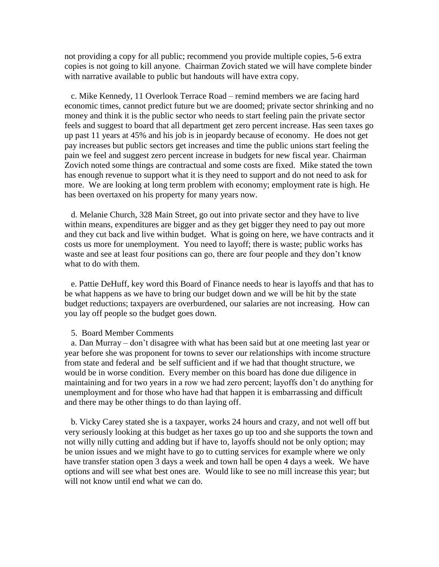not providing a copy for all public; recommend you provide multiple copies, 5-6 extra copies is not going to kill anyone. Chairman Zovich stated we will have complete binder with narrative available to public but handouts will have extra copy.

c. Mike Kennedy, 11 Overlook Terrace Road – remind members we are facing hard economic times, cannot predict future but we are doomed; private sector shrinking and no money and think it is the public sector who needs to start feeling pain the private sector feels and suggest to board that all department get zero percent increase. Has seen taxes go up past 11 years at 45% and his job is in jeopardy because of economy. He does not get pay increases but public sectors get increases and time the public unions start feeling the pain we feel and suggest zero percent increase in budgets for new fiscal year. Chairman Zovich noted some things are contractual and some costs are fixed. Mike stated the town has enough revenue to support what it is they need to support and do not need to ask for more. We are looking at long term problem with economy; employment rate is high. He has been overtaxed on his property for many years now.

d. Melanie Church, 328 Main Street, go out into private sector and they have to live within means, expenditures are bigger and as they get bigger they need to pay out more and they cut back and live within budget. What is going on here, we have contracts and it costs us more for unemployment. You need to layoff; there is waste; public works has waste and see at least four positions can go, there are four people and they don't know what to do with them.

e. Pattie DeHuff, key word this Board of Finance needs to hear is layoffs and that has to be what happens as we have to bring our budget down and we will be hit by the state budget reductions; taxpayers are overburdened, our salaries are not increasing. How can you lay off people so the budget goes down.

#### 5. Board Member Comments

a. Dan Murray – don't disagree with what has been said but at one meeting last year or year before she was proponent for towns to sever our relationships with income structure from state and federal and be self sufficient and if we had that thought structure, we would be in worse condition. Every member on this board has done due diligence in maintaining and for two years in a row we had zero percent; layoffs don't do anything for unemployment and for those who have had that happen it is embarrassing and difficult and there may be other things to do than laying off.

b. Vicky Carey stated she is a taxpayer, works 24 hours and crazy, and not well off but very seriously looking at this budget as her taxes go up too and she supports the town and not willy nilly cutting and adding but if have to, layoffs should not be only option; may be union issues and we might have to go to cutting services for example where we only have transfer station open 3 days a week and town hall be open 4 days a week. We have options and will see what best ones are. Would like to see no mill increase this year; but will not know until end what we can do.